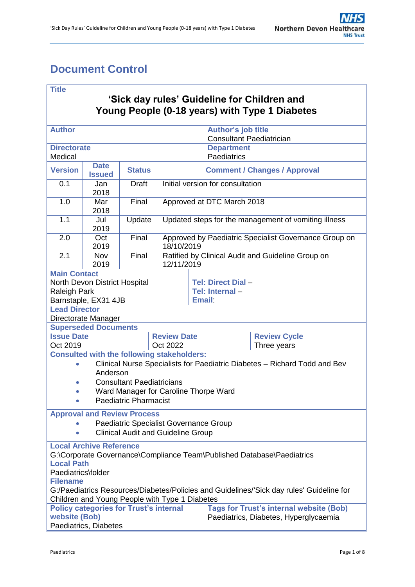# <span id="page-0-0"></span>**Document Control**

### **Title**

## **'Sick day rules' Guideline for Children and Young People (0-18 years) with Type 1 Diabetes**

| <b>Author</b>                                                                                                                                                                                                                                                                                                        |                             |                                    |                                                                     |  | <b>Author's job title</b><br><b>Consultant Paediatrician</b> |                                                                                         |  |  |
|----------------------------------------------------------------------------------------------------------------------------------------------------------------------------------------------------------------------------------------------------------------------------------------------------------------------|-----------------------------|------------------------------------|---------------------------------------------------------------------|--|--------------------------------------------------------------|-----------------------------------------------------------------------------------------|--|--|
| <b>Directorate</b><br>Medical                                                                                                                                                                                                                                                                                        |                             |                                    |                                                                     |  | <b>Department</b><br>Paediatrics                             |                                                                                         |  |  |
| <b>Date</b><br><b>Version</b><br><b>Status</b><br><b>Issued</b>                                                                                                                                                                                                                                                      |                             |                                    | <b>Comment / Changes / Approval</b>                                 |  |                                                              |                                                                                         |  |  |
| 0.1                                                                                                                                                                                                                                                                                                                  | Jan<br>2018                 | <b>Draft</b>                       |                                                                     |  | Initial version for consultation                             |                                                                                         |  |  |
| 1.0                                                                                                                                                                                                                                                                                                                  | Mar<br>2018                 | Final                              | Approved at DTC March 2018                                          |  |                                                              |                                                                                         |  |  |
| 1.1                                                                                                                                                                                                                                                                                                                  | Jul<br>2019                 | Update                             | Updated steps for the management of vomiting illness                |  |                                                              |                                                                                         |  |  |
| 2.0                                                                                                                                                                                                                                                                                                                  | Oct<br>2019                 | Final                              | Approved by Paediatric Specialist Governance Group on<br>18/10/2019 |  |                                                              |                                                                                         |  |  |
| 2.1                                                                                                                                                                                                                                                                                                                  | Nov<br>2019                 | Final                              | Ratified by Clinical Audit and Guideline Group on<br>12/11/2019     |  |                                                              |                                                                                         |  |  |
| <b>Main Contact</b><br>North Devon District Hospital<br><b>Raleigh Park</b><br>Barnstaple, EX31 4JB                                                                                                                                                                                                                  |                             |                                    | Tel: Direct Dial-<br>Tel: Internal-<br><b>Email:</b>                |  |                                                              |                                                                                         |  |  |
| <b>Lead Director</b><br>Directorate Manager                                                                                                                                                                                                                                                                          |                             |                                    |                                                                     |  |                                                              |                                                                                         |  |  |
|                                                                                                                                                                                                                                                                                                                      | <b>Superseded Documents</b> |                                    |                                                                     |  |                                                              |                                                                                         |  |  |
| <b>Issue Date</b>                                                                                                                                                                                                                                                                                                    |                             |                                    | <b>Review Date</b>                                                  |  |                                                              | <b>Review Cycle</b>                                                                     |  |  |
| Oct 2019                                                                                                                                                                                                                                                                                                             |                             |                                    | Oct 2022                                                            |  |                                                              | Three years                                                                             |  |  |
| <b>Consulted with the following stakeholders:</b><br>Clinical Nurse Specialists for Paediatric Diabetes - Richard Todd and Bev<br>$\bullet$<br>Anderson<br><b>Consultant Paediatricians</b><br>$\bullet$<br>Ward Manager for Caroline Thorpe Ward<br><b>Paediatric Pharmacist</b>                                    |                             |                                    |                                                                     |  |                                                              |                                                                                         |  |  |
|                                                                                                                                                                                                                                                                                                                      |                             | <b>Approval and Review Process</b> |                                                                     |  |                                                              |                                                                                         |  |  |
| Paediatric Specialist Governance Group<br><b>Clinical Audit and Guideline Group</b>                                                                                                                                                                                                                                  |                             |                                    |                                                                     |  |                                                              |                                                                                         |  |  |
| <b>Local Archive Reference</b><br>G:\Corporate Governance\Compliance Team\Published Database\Paediatrics<br><b>Local Path</b><br>Paediatrics\folder<br><b>Filename</b><br>G:/Paediatrics Resources/Diabetes/Policies and Guidelines/'Sick day rules' Guideline for<br>Children and Young People with Type 1 Diabetes |                             |                                    |                                                                     |  |                                                              |                                                                                         |  |  |
| <b>Policy categories for Trust's internal</b><br>website (Bob)<br>Paediatrics, Diabetes                                                                                                                                                                                                                              |                             |                                    |                                                                     |  |                                                              | <b>Tags for Trust's internal website (Bob)</b><br>Paediatrics, Diabetes, Hyperglycaemia |  |  |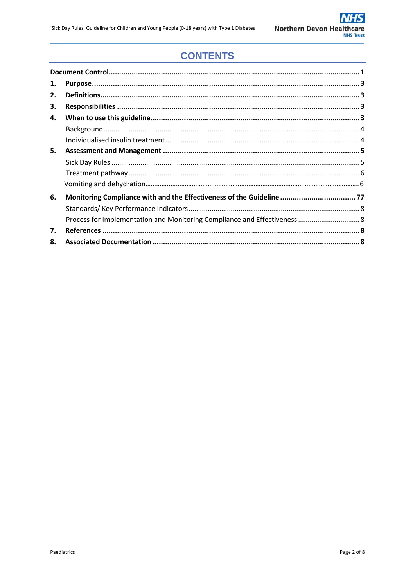# **CONTENTS**

| 1. |                                                                       |  |
|----|-----------------------------------------------------------------------|--|
| 2. |                                                                       |  |
| З. |                                                                       |  |
| 4. |                                                                       |  |
|    |                                                                       |  |
|    |                                                                       |  |
| 5. |                                                                       |  |
|    |                                                                       |  |
|    |                                                                       |  |
|    |                                                                       |  |
| 6. | Monitoring Compliance with and the Effectiveness of the Guideline  77 |  |
|    |                                                                       |  |
|    |                                                                       |  |
| 7. |                                                                       |  |
| 8. |                                                                       |  |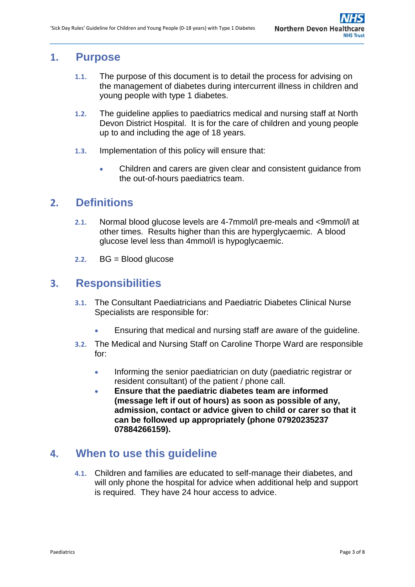# <span id="page-2-0"></span>**1. Purpose**

- **1.1.** The purpose of this document is to detail the process for advising on the management of diabetes during intercurrent illness in children and young people with type 1 diabetes.
- **1.2.** The guideline applies to paediatrics medical and nursing staff at North Devon District Hospital. It is for the care of children and young people up to and including the age of 18 years.
- **1.3.** Implementation of this policy will ensure that:
	- Children and carers are given clear and consistent guidance from the out-of-hours paediatrics team.

## <span id="page-2-1"></span>**2. Definitions**

- **2.1.** Normal blood glucose levels are 4-7mmol/l pre-meals and <9mmol/l at other times. Results higher than this are hyperglycaemic. A blood glucose level less than 4mmol/l is hypoglycaemic.
- **2.2.** BG = Blood glucose

# <span id="page-2-2"></span>**3. Responsibilities**

- **3.1.** The Consultant Paediatricians and Paediatric Diabetes Clinical Nurse Specialists are responsible for:
	- Ensuring that medical and nursing staff are aware of the guideline.
- **3.2.** The Medical and Nursing Staff on Caroline Thorpe Ward are responsible for:
	- Informing the senior paediatrician on duty (paediatric registrar or resident consultant) of the patient / phone call.
	- **Ensure that the paediatric diabetes team are informed (message left if out of hours) as soon as possible of any, admission, contact or advice given to child or carer so that it can be followed up appropriately (phone 07920235237 07884266159).**

## <span id="page-2-3"></span>**4. When to use this guideline**

**4.1.** Children and families are educated to self-manage their diabetes, and will only phone the hospital for advice when additional help and support is required. They have 24 hour access to advice.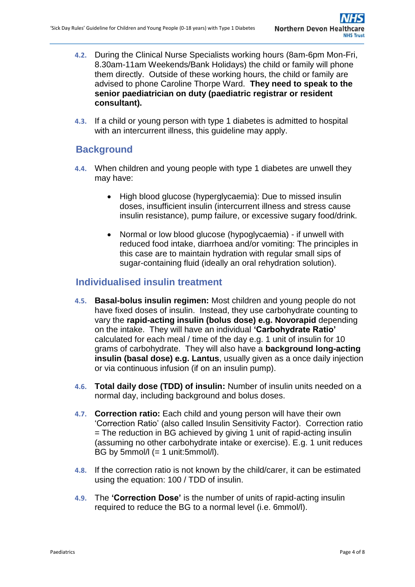- **4.2.** During the Clinical Nurse Specialists working hours (8am-6pm Mon-Fri, 8.30am-11am Weekends/Bank Holidays) the child or family will phone them directly. Outside of these working hours, the child or family are advised to phone Caroline Thorpe Ward. **They need to speak to the senior paediatrician on duty (paediatric registrar or resident consultant).**
- **4.3.** If a child or young person with type 1 diabetes is admitted to hospital with an intercurrent illness, this guideline may apply.

## <span id="page-3-0"></span>**Background**

- **4.4.** When children and young people with type 1 diabetes are unwell they may have:
	- High blood glucose (hyperglycaemia): Due to missed insulin doses, insufficient insulin (intercurrent illness and stress cause insulin resistance), pump failure, or excessive sugary food/drink.
	- Normal or low blood glucose (hypoglycaemia) if unwell with reduced food intake, diarrhoea and/or vomiting: The principles in this case are to maintain hydration with regular small sips of sugar-containing fluid (ideally an oral rehydration solution).

### <span id="page-3-1"></span>**Individualised insulin treatment**

- **4.5. Basal-bolus insulin regimen:** Most children and young people do not have fixed doses of insulin. Instead, they use carbohydrate counting to vary the **rapid-acting insulin (bolus dose) e.g. Novorapid** depending on the intake. They will have an individual **'Carbohydrate Ratio'** calculated for each meal / time of the day e.g. 1 unit of insulin for 10 grams of carbohydrate. They will also have a **background long-acting insulin (basal dose) e.g. Lantus**, usually given as a once daily injection or via continuous infusion (if on an insulin pump).
- **4.6. Total daily dose (TDD) of insulin:** Number of insulin units needed on a normal day, including background and bolus doses.
- **4.7. Correction ratio:** Each child and young person will have their own 'Correction Ratio' (also called Insulin Sensitivity Factor). Correction ratio = The reduction in BG achieved by giving 1 unit of rapid-acting insulin (assuming no other carbohydrate intake or exercise). E.g. 1 unit reduces BG by  $5$ mmol/l  $(= 1$  unit: $5$ mmol/l).
- **4.8.** If the correction ratio is not known by the child/carer, it can be estimated using the equation: 100 / TDD of insulin.
- **4.9.** The **'Correction Dose'** is the number of units of rapid-acting insulin required to reduce the BG to a normal level (i.e. 6mmol/l).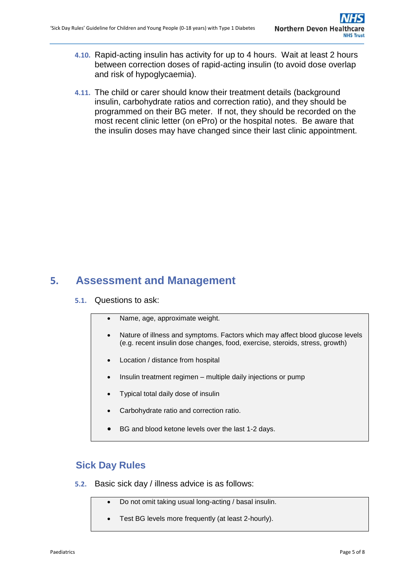- **4.10.** Rapid-acting insulin has activity for up to 4 hours. Wait at least 2 hours between correction doses of rapid-acting insulin (to avoid dose overlap and risk of hypoglycaemia).
- **4.11.** The child or carer should know their treatment details (background insulin, carbohydrate ratios and correction ratio), and they should be programmed on their BG meter. If not, they should be recorded on the most recent clinic letter (on ePro) or the hospital notes. Be aware that the insulin doses may have changed since their last clinic appointment.

# <span id="page-4-0"></span>**5. Assessment and Management**

#### **5.1.** Questions to ask:

- Name, age, approximate weight.
- Nature of illness and symptoms. Factors which may affect blood glucose levels (e.g. recent insulin dose changes, food, exercise, steroids, stress, growth)
- Location / distance from hospital
- Insulin treatment regimen multiple daily injections or pump
- Typical total daily dose of insulin
- Carbohydrate ratio and correction ratio.
- BG and blood ketone levels over the last 1-2 days.

### <span id="page-4-1"></span>**Sick Day Rules**

- **5.2.** Basic sick day / illness advice is as follows:
	- Do not omit taking usual long-acting / basal insulin.
	- Test BG levels more frequently (at least 2-hourly).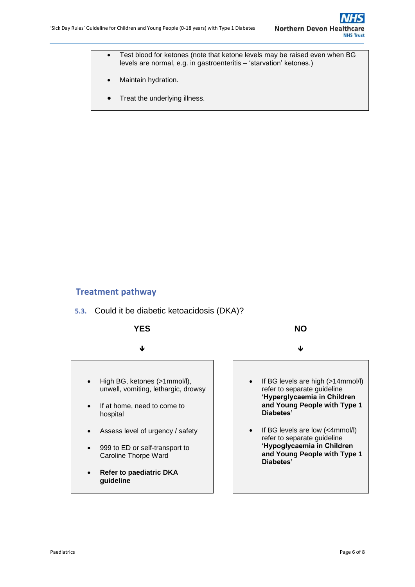- Test blood for ketones (note that ketone levels may be raised even when BG levels are normal, e.g. in gastroenteritis – 'starvation' ketones.)
- Maintain hydration.
- Treat the underlying illness.

### <span id="page-5-0"></span>**Treatment pathway**



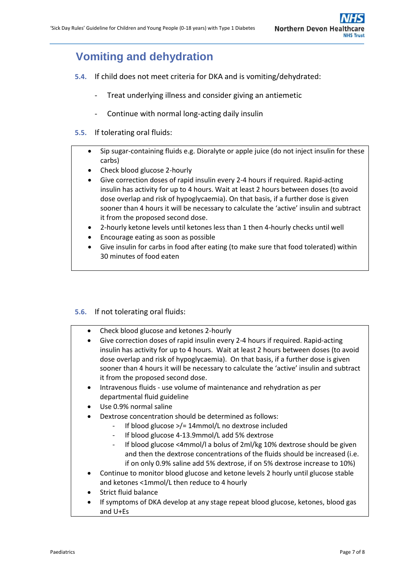# **Vomiting and dehydration**

- <span id="page-6-0"></span>**5.4.** If child does not meet criteria for DKA and is vomiting/dehydrated:
	- Treat underlying illness and consider giving an antiemetic
	- Continue with normal long-acting daily insulin
- **5.5.** If tolerating oral fluids:
	- Sip sugar-containing fluids e.g. Dioralyte or apple juice (do not inject insulin for these carbs)
	- Check blood glucose 2-hourly
	- Give correction doses of rapid insulin every 2-4 hours if required. Rapid-acting insulin has activity for up to 4 hours. Wait at least 2 hours between doses (to avoid dose overlap and risk of hypoglycaemia). On that basis, if a further dose is given sooner than 4 hours it will be necessary to calculate the 'active' insulin and subtract it from the proposed second dose.
	- 2-hourly ketone levels until ketones less than 1 then 4-hourly checks until well
	- Encourage eating as soon as possible
	- Give insulin for carbs in food after eating (to make sure that food tolerated) within 30 minutes of food eaten

#### **5.6.** If not tolerating oral fluids:

|  | Check blood glucose and ketones 2-hourly |
|--|------------------------------------------|
|--|------------------------------------------|

- Give correction doses of rapid insulin every 2-4 hours if required. Rapid-acting insulin has activity for up to 4 hours. Wait at least 2 hours between doses (to avoid dose overlap and risk of hypoglycaemia). On that basis, if a further dose is given sooner than 4 hours it will be necessary to calculate the 'active' insulin and subtract it from the proposed second dose.
- Intravenous fluids use volume of maintenance and rehydration as per departmental fluid guideline
- Use 0.9% normal saline
- Dextrose concentration should be determined as follows:
	- If blood glucose  $\frac{1}{2}$  14mmol/L no dextrose included
		- If blood glucose 4-13.9mmol/L add 5% dextrose
		- If blood glucose <4mmol/l a bolus of 2ml/kg 10% dextrose should be given and then the dextrose concentrations of the fluids should be increased (i.e. if on only 0.9% saline add 5% dextrose, if on 5% dextrose increase to 10%)
- Continue to monitor blood glucose and ketone levels 2 hourly until glucose stable and ketones <1mmol/L then reduce to 4 hourly
- Strict fluid balance
- If symptoms of DKA develop at any stage repeat blood glucose, ketones, blood gas and U+Es